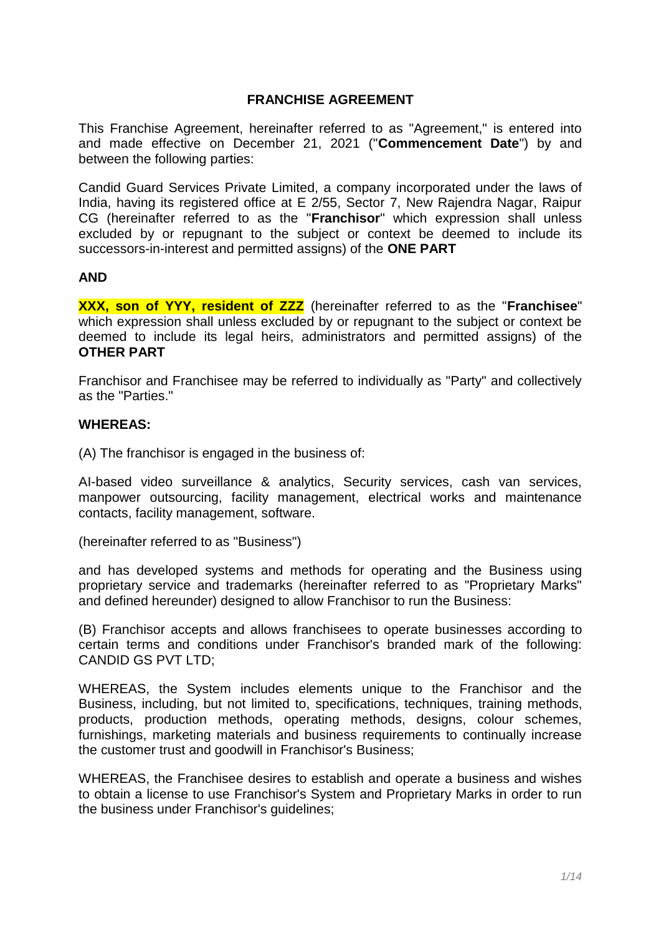# **FRANCHISE AGREEMENT**

This Franchise Agreement, hereinafter referred to as "Agreement," is entered into and made effective on December 21, 2021 ("**Commencement Date**") by and between the following parties:

Candid Guard Services Private Limited, a company incorporated under the laws of India, having its registered office at E 2/55, Sector 7, New Rajendra Nagar, Raipur CG (hereinafter referred to as the "**Franchisor**" which expression shall unless excluded by or repugnant to the subject or context be deemed to include its successors-in-interest and permitted assigns) of the **ONE PART**

#### **AND**

**XXX, son of YYY, resident of ZZZ** (hereinafter referred to as the "**Franchisee**" which expression shall unless excluded by or repugnant to the subject or context be deemed to include its legal heirs, administrators and permitted assigns) of the **OTHER PART**

Franchisor and Franchisee may be referred to individually as "Party" and collectively as the "Parties."

#### **WHEREAS:**

(A) The franchisor is engaged in the business of:

AI-based video surveillance & analytics, Security services, cash van services, manpower outsourcing, facility management, electrical works and maintenance contacts, facility management, software.

(hereinafter referred to as "Business")

and has developed systems and methods for operating and the Business using proprietary service and trademarks (hereinafter referred to as "Proprietary Marks" and defined hereunder) designed to allow Franchisor to run the Business:

(B) Franchisor accepts and allows franchisees to operate businesses according to certain terms and conditions under Franchisor's branded mark of the following: CANDID GS PVT LTD;

WHEREAS, the System includes elements unique to the Franchisor and the Business, including, but not limited to, specifications, techniques, training methods, products, production methods, operating methods, designs, colour schemes, furnishings, marketing materials and business requirements to continually increase the customer trust and goodwill in Franchisor's Business;

WHEREAS, the Franchisee desires to establish and operate a business and wishes to obtain a license to use Franchisor's System and Proprietary Marks in order to run the business under Franchisor's guidelines;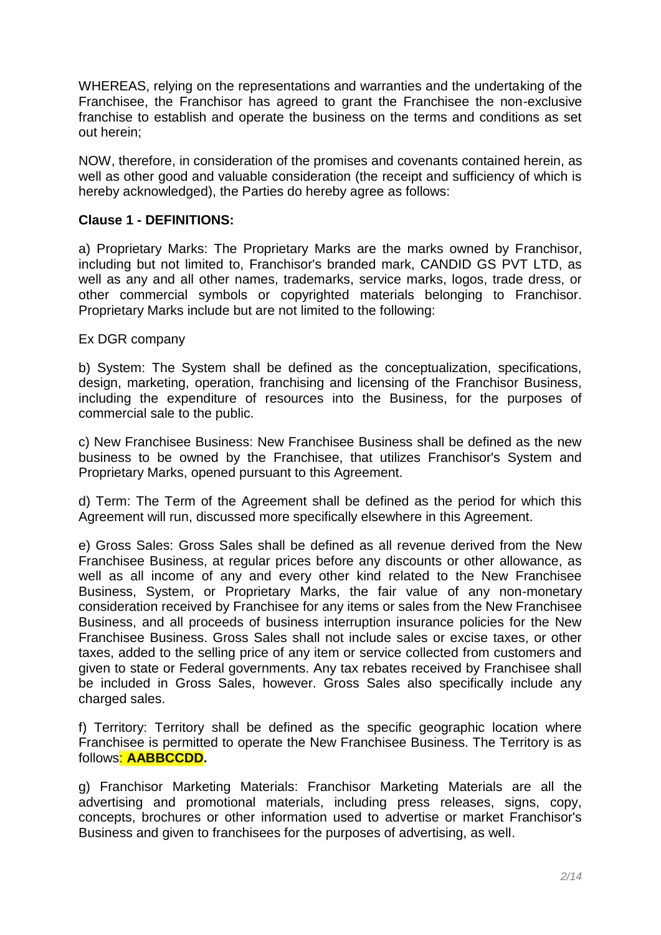WHEREAS, relying on the representations and warranties and the undertaking of the Franchisee, the Franchisor has agreed to grant the Franchisee the non-exclusive franchise to establish and operate the business on the terms and conditions as set out herein;

NOW, therefore, in consideration of the promises and covenants contained herein, as well as other good and valuable consideration (the receipt and sufficiency of which is hereby acknowledged), the Parties do hereby agree as follows:

# **Clause 1 - DEFINITIONS:**

a) Proprietary Marks: The Proprietary Marks are the marks owned by Franchisor, including but not limited to, Franchisor's branded mark, CANDID GS PVT LTD, as well as any and all other names, trademarks, service marks, logos, trade dress, or other commercial symbols or copyrighted materials belonging to Franchisor. Proprietary Marks include but are not limited to the following:

## Ex DGR company

b) System: The System shall be defined as the conceptualization, specifications, design, marketing, operation, franchising and licensing of the Franchisor Business, including the expenditure of resources into the Business, for the purposes of commercial sale to the public.

c) New Franchisee Business: New Franchisee Business shall be defined as the new business to be owned by the Franchisee, that utilizes Franchisor's System and Proprietary Marks, opened pursuant to this Agreement.

d) Term: The Term of the Agreement shall be defined as the period for which this Agreement will run, discussed more specifically elsewhere in this Agreement.

e) Gross Sales: Gross Sales shall be defined as all revenue derived from the New Franchisee Business, at regular prices before any discounts or other allowance, as well as all income of any and every other kind related to the New Franchisee Business, System, or Proprietary Marks, the fair value of any non-monetary consideration received by Franchisee for any items or sales from the New Franchisee Business, and all proceeds of business interruption insurance policies for the New Franchisee Business. Gross Sales shall not include sales or excise taxes, or other taxes, added to the selling price of any item or service collected from customers and given to state or Federal governments. Any tax rebates received by Franchisee shall be included in Gross Sales, however. Gross Sales also specifically include any charged sales.

f) Territory: Territory shall be defined as the specific geographic location where Franchisee is permitted to operate the New Franchisee Business. The Territory is as follows: **AABBCCDD.**

g) Franchisor Marketing Materials: Franchisor Marketing Materials are all the advertising and promotional materials, including press releases, signs, copy, concepts, brochures or other information used to advertise or market Franchisor's Business and given to franchisees for the purposes of advertising, as well.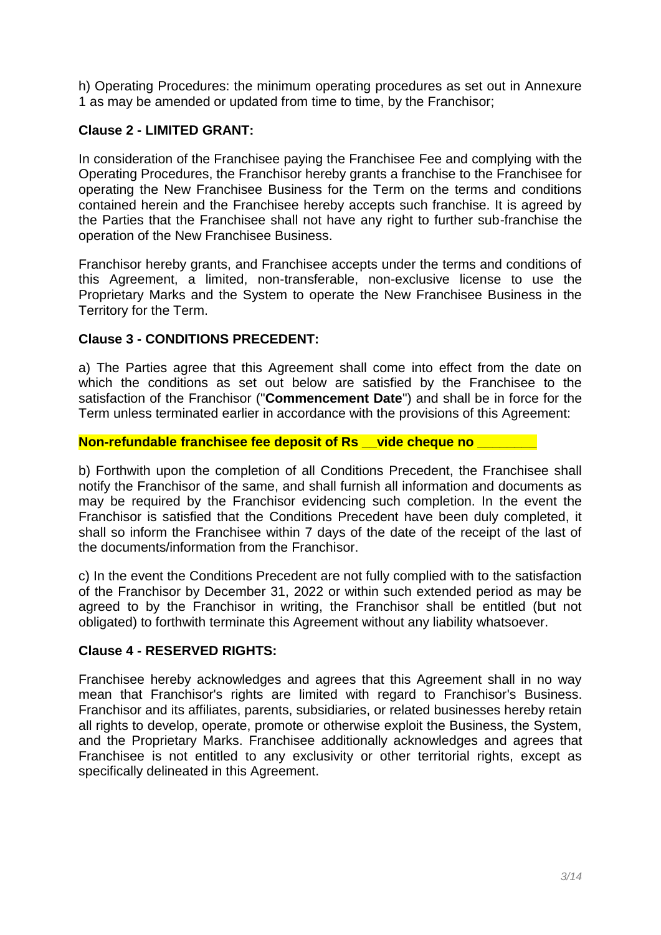h) Operating Procedures: the minimum operating procedures as set out in Annexure 1 as may be amended or updated from time to time, by the Franchisor;

# **Clause 2 - LIMITED GRANT:**

In consideration of the Franchisee paying the Franchisee Fee and complying with the Operating Procedures, the Franchisor hereby grants a franchise to the Franchisee for operating the New Franchisee Business for the Term on the terms and conditions contained herein and the Franchisee hereby accepts such franchise. It is agreed by the Parties that the Franchisee shall not have any right to further sub-franchise the operation of the New Franchisee Business.

Franchisor hereby grants, and Franchisee accepts under the terms and conditions of this Agreement, a limited, non-transferable, non-exclusive license to use the Proprietary Marks and the System to operate the New Franchisee Business in the Territory for the Term.

# **Clause 3 - CONDITIONS PRECEDENT:**

a) The Parties agree that this Agreement shall come into effect from the date on which the conditions as set out below are satisfied by the Franchisee to the satisfaction of the Franchisor ("**Commencement Date**") and shall be in force for the Term unless terminated earlier in accordance with the provisions of this Agreement:

# **Non-refundable franchisee fee deposit of Rs \_\_vide cheque no \_\_\_\_\_\_\_\_**

b) Forthwith upon the completion of all Conditions Precedent, the Franchisee shall notify the Franchisor of the same, and shall furnish all information and documents as may be required by the Franchisor evidencing such completion. In the event the Franchisor is satisfied that the Conditions Precedent have been duly completed, it shall so inform the Franchisee within 7 days of the date of the receipt of the last of the documents/information from the Franchisor.

c) In the event the Conditions Precedent are not fully complied with to the satisfaction of the Franchisor by December 31, 2022 or within such extended period as may be agreed to by the Franchisor in writing, the Franchisor shall be entitled (but not obligated) to forthwith terminate this Agreement without any liability whatsoever.

# **Clause 4 - RESERVED RIGHTS:**

Franchisee hereby acknowledges and agrees that this Agreement shall in no way mean that Franchisor's rights are limited with regard to Franchisor's Business. Franchisor and its affiliates, parents, subsidiaries, or related businesses hereby retain all rights to develop, operate, promote or otherwise exploit the Business, the System, and the Proprietary Marks. Franchisee additionally acknowledges and agrees that Franchisee is not entitled to any exclusivity or other territorial rights, except as specifically delineated in this Agreement.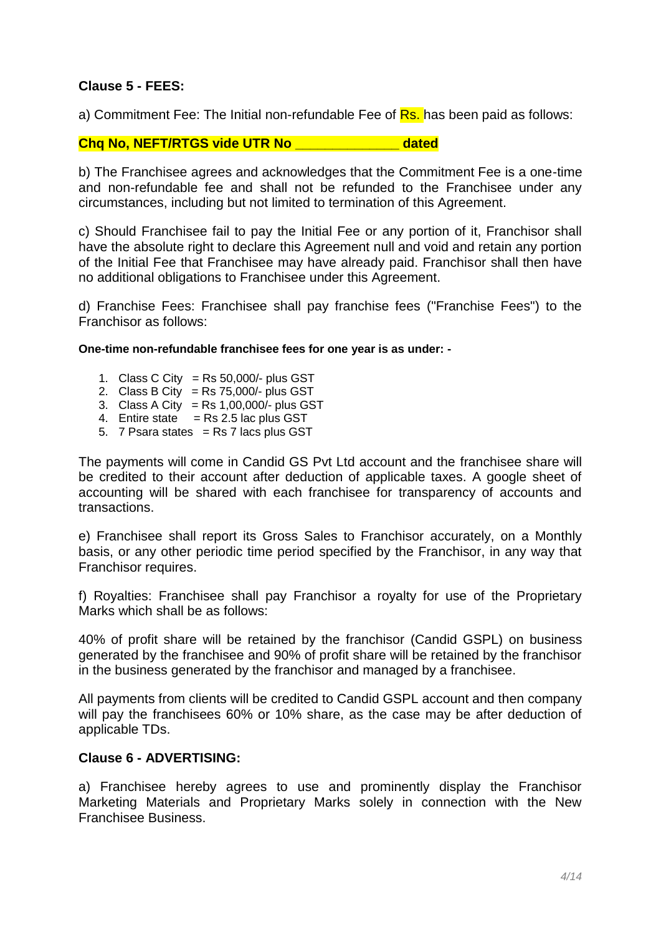# **Clause 5 - FEES:**

a) Commitment Fee: The Initial non-refundable Fee of Rs. has been paid as follows:

#### **Chq No, NEFT/RTGS vide UTR No \_\_\_\_\_\_\_\_\_\_\_\_\_\_ dated**

b) The Franchisee agrees and acknowledges that the Commitment Fee is a one-time and non-refundable fee and shall not be refunded to the Franchisee under any circumstances, including but not limited to termination of this Agreement.

c) Should Franchisee fail to pay the Initial Fee or any portion of it, Franchisor shall have the absolute right to declare this Agreement null and void and retain any portion of the Initial Fee that Franchisee may have already paid. Franchisor shall then have no additional obligations to Franchisee under this Agreement.

d) Franchise Fees: Franchisee shall pay franchise fees ("Franchise Fees") to the Franchisor as follows:

#### **One-time non-refundable franchisee fees for one year is as under: -**

- 1. Class C City = Rs  $50,000/$  plus GST
- 2. Class B City = Rs 75,000/- plus GST
- $3.$  Class A City = Rs 1,00,000/- plus GST
- 4. Entire state  $=$  Rs 2.5 lac plus GST
- 5.  $7$  Psara states = Rs 7 lacs plus GST

The payments will come in Candid GS Pvt Ltd account and the franchisee share will be credited to their account after deduction of applicable taxes. A google sheet of accounting will be shared with each franchisee for transparency of accounts and transactions.

e) Franchisee shall report its Gross Sales to Franchisor accurately, on a Monthly basis, or any other periodic time period specified by the Franchisor, in any way that Franchisor requires.

f) Royalties: Franchisee shall pay Franchisor a royalty for use of the Proprietary Marks which shall be as follows:

40% of profit share will be retained by the franchisor (Candid GSPL) on business generated by the franchisee and 90% of profit share will be retained by the franchisor in the business generated by the franchisor and managed by a franchisee.

All payments from clients will be credited to Candid GSPL account and then company will pay the franchisees 60% or 10% share, as the case may be after deduction of applicable TDs.

## **Clause 6 - ADVERTISING:**

a) Franchisee hereby agrees to use and prominently display the Franchisor Marketing Materials and Proprietary Marks solely in connection with the New Franchisee Business.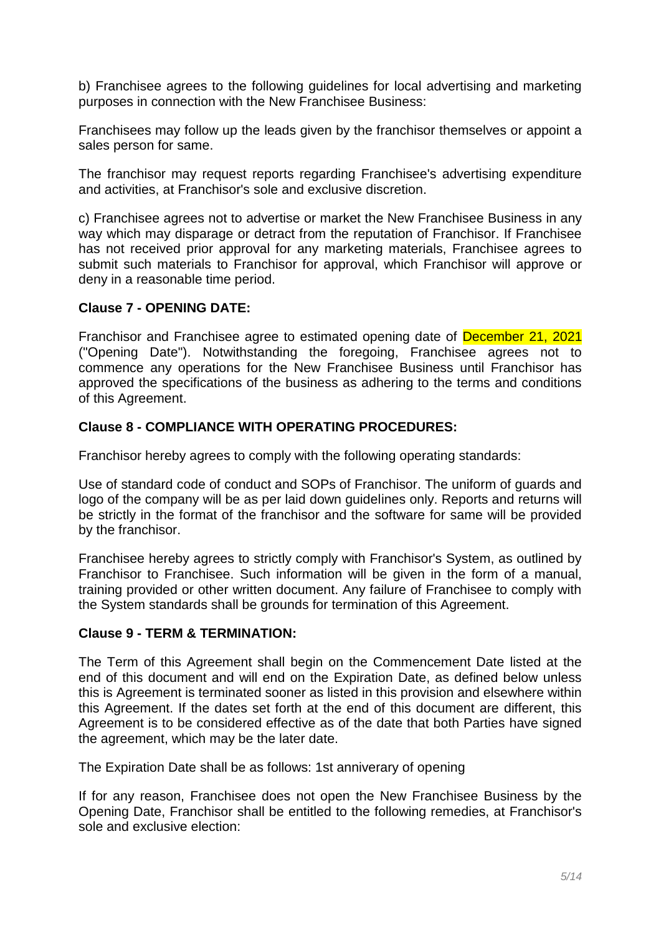b) Franchisee agrees to the following guidelines for local advertising and marketing purposes in connection with the New Franchisee Business:

Franchisees may follow up the leads given by the franchisor themselves or appoint a sales person for same.

The franchisor may request reports regarding Franchisee's advertising expenditure and activities, at Franchisor's sole and exclusive discretion.

c) Franchisee agrees not to advertise or market the New Franchisee Business in any way which may disparage or detract from the reputation of Franchisor. If Franchisee has not received prior approval for any marketing materials, Franchisee agrees to submit such materials to Franchisor for approval, which Franchisor will approve or deny in a reasonable time period.

## **Clause 7 - OPENING DATE:**

Franchisor and Franchisee agree to estimated opening date of December 21, 2021 ("Opening Date"). Notwithstanding the foregoing, Franchisee agrees not to commence any operations for the New Franchisee Business until Franchisor has approved the specifications of the business as adhering to the terms and conditions of this Agreement.

## **Clause 8 - COMPLIANCE WITH OPERATING PROCEDURES:**

Franchisor hereby agrees to comply with the following operating standards:

Use of standard code of conduct and SOPs of Franchisor. The uniform of guards and logo of the company will be as per laid down guidelines only. Reports and returns will be strictly in the format of the franchisor and the software for same will be provided by the franchisor.

Franchisee hereby agrees to strictly comply with Franchisor's System, as outlined by Franchisor to Franchisee. Such information will be given in the form of a manual, training provided or other written document. Any failure of Franchisee to comply with the System standards shall be grounds for termination of this Agreement.

## **Clause 9 - TERM & TERMINATION:**

The Term of this Agreement shall begin on the Commencement Date listed at the end of this document and will end on the Expiration Date, as defined below unless this is Agreement is terminated sooner as listed in this provision and elsewhere within this Agreement. If the dates set forth at the end of this document are different, this Agreement is to be considered effective as of the date that both Parties have signed the agreement, which may be the later date.

The Expiration Date shall be as follows: 1st anniverary of opening

If for any reason, Franchisee does not open the New Franchisee Business by the Opening Date, Franchisor shall be entitled to the following remedies, at Franchisor's sole and exclusive election: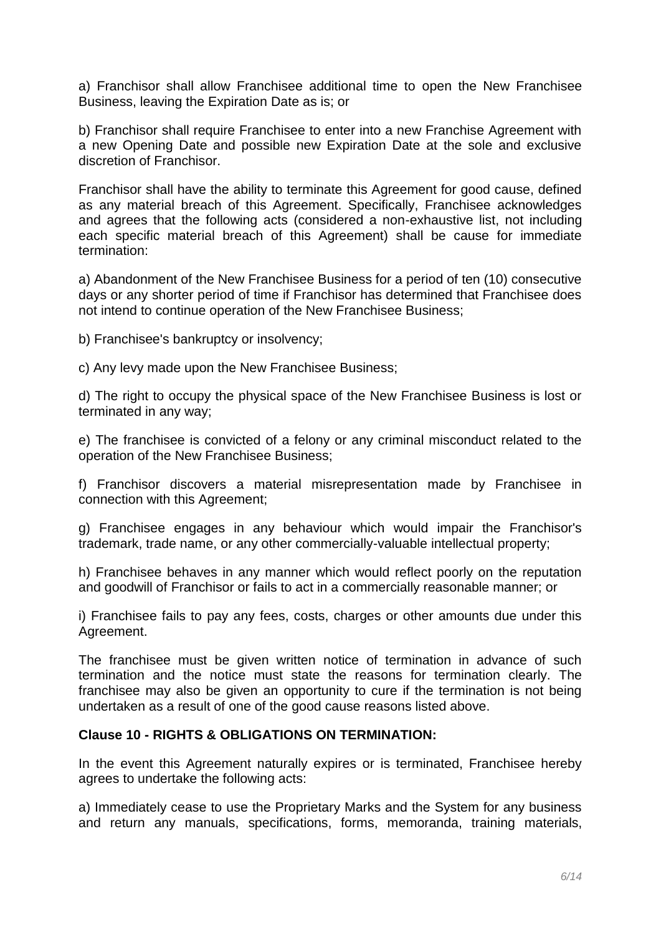a) Franchisor shall allow Franchisee additional time to open the New Franchisee Business, leaving the Expiration Date as is; or

b) Franchisor shall require Franchisee to enter into a new Franchise Agreement with a new Opening Date and possible new Expiration Date at the sole and exclusive discretion of Franchisor.

Franchisor shall have the ability to terminate this Agreement for good cause, defined as any material breach of this Agreement. Specifically, Franchisee acknowledges and agrees that the following acts (considered a non-exhaustive list, not including each specific material breach of this Agreement) shall be cause for immediate termination:

a) Abandonment of the New Franchisee Business for a period of ten (10) consecutive days or any shorter period of time if Franchisor has determined that Franchisee does not intend to continue operation of the New Franchisee Business;

b) Franchisee's bankruptcy or insolvency;

c) Any levy made upon the New Franchisee Business;

d) The right to occupy the physical space of the New Franchisee Business is lost or terminated in any way;

e) The franchisee is convicted of a felony or any criminal misconduct related to the operation of the New Franchisee Business;

f) Franchisor discovers a material misrepresentation made by Franchisee in connection with this Agreement;

g) Franchisee engages in any behaviour which would impair the Franchisor's trademark, trade name, or any other commercially-valuable intellectual property;

h) Franchisee behaves in any manner which would reflect poorly on the reputation and goodwill of Franchisor or fails to act in a commercially reasonable manner; or

i) Franchisee fails to pay any fees, costs, charges or other amounts due under this Agreement.

The franchisee must be given written notice of termination in advance of such termination and the notice must state the reasons for termination clearly. The franchisee may also be given an opportunity to cure if the termination is not being undertaken as a result of one of the good cause reasons listed above.

#### **Clause 10 - RIGHTS & OBLIGATIONS ON TERMINATION:**

In the event this Agreement naturally expires or is terminated, Franchisee hereby agrees to undertake the following acts:

a) Immediately cease to use the Proprietary Marks and the System for any business and return any manuals, specifications, forms, memoranda, training materials,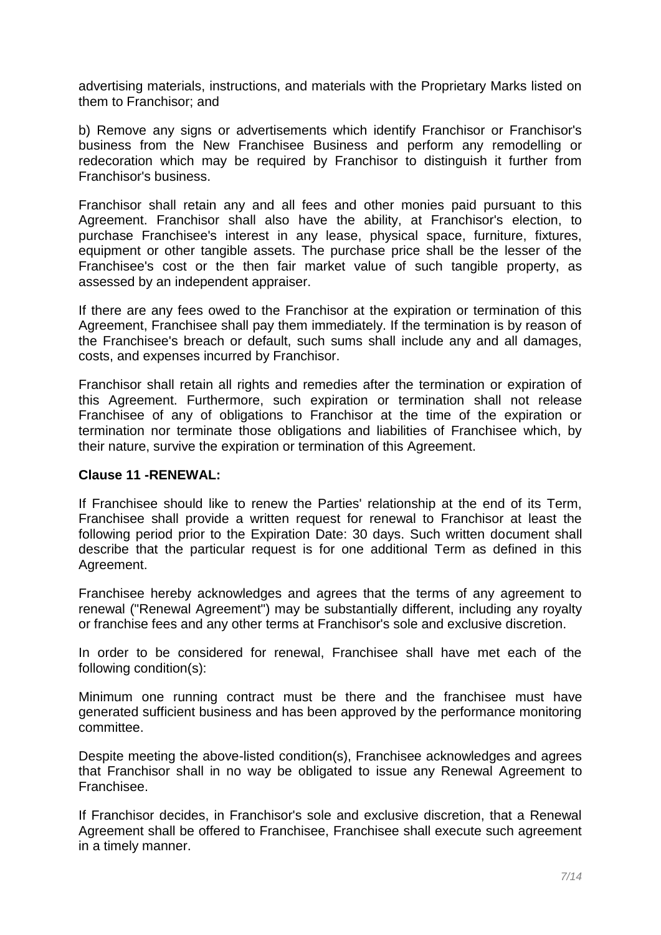advertising materials, instructions, and materials with the Proprietary Marks listed on them to Franchisor; and

b) Remove any signs or advertisements which identify Franchisor or Franchisor's business from the New Franchisee Business and perform any remodelling or redecoration which may be required by Franchisor to distinguish it further from Franchisor's business.

Franchisor shall retain any and all fees and other monies paid pursuant to this Agreement. Franchisor shall also have the ability, at Franchisor's election, to purchase Franchisee's interest in any lease, physical space, furniture, fixtures, equipment or other tangible assets. The purchase price shall be the lesser of the Franchisee's cost or the then fair market value of such tangible property, as assessed by an independent appraiser.

If there are any fees owed to the Franchisor at the expiration or termination of this Agreement, Franchisee shall pay them immediately. If the termination is by reason of the Franchisee's breach or default, such sums shall include any and all damages, costs, and expenses incurred by Franchisor.

Franchisor shall retain all rights and remedies after the termination or expiration of this Agreement. Furthermore, such expiration or termination shall not release Franchisee of any of obligations to Franchisor at the time of the expiration or termination nor terminate those obligations and liabilities of Franchisee which, by their nature, survive the expiration or termination of this Agreement.

#### **Clause 11 -RENEWAL:**

If Franchisee should like to renew the Parties' relationship at the end of its Term, Franchisee shall provide a written request for renewal to Franchisor at least the following period prior to the Expiration Date: 30 days. Such written document shall describe that the particular request is for one additional Term as defined in this Agreement.

Franchisee hereby acknowledges and agrees that the terms of any agreement to renewal ("Renewal Agreement") may be substantially different, including any royalty or franchise fees and any other terms at Franchisor's sole and exclusive discretion.

In order to be considered for renewal, Franchisee shall have met each of the following condition(s):

Minimum one running contract must be there and the franchisee must have generated sufficient business and has been approved by the performance monitoring committee.

Despite meeting the above-listed condition(s), Franchisee acknowledges and agrees that Franchisor shall in no way be obligated to issue any Renewal Agreement to Franchisee.

If Franchisor decides, in Franchisor's sole and exclusive discretion, that a Renewal Agreement shall be offered to Franchisee, Franchisee shall execute such agreement in a timely manner.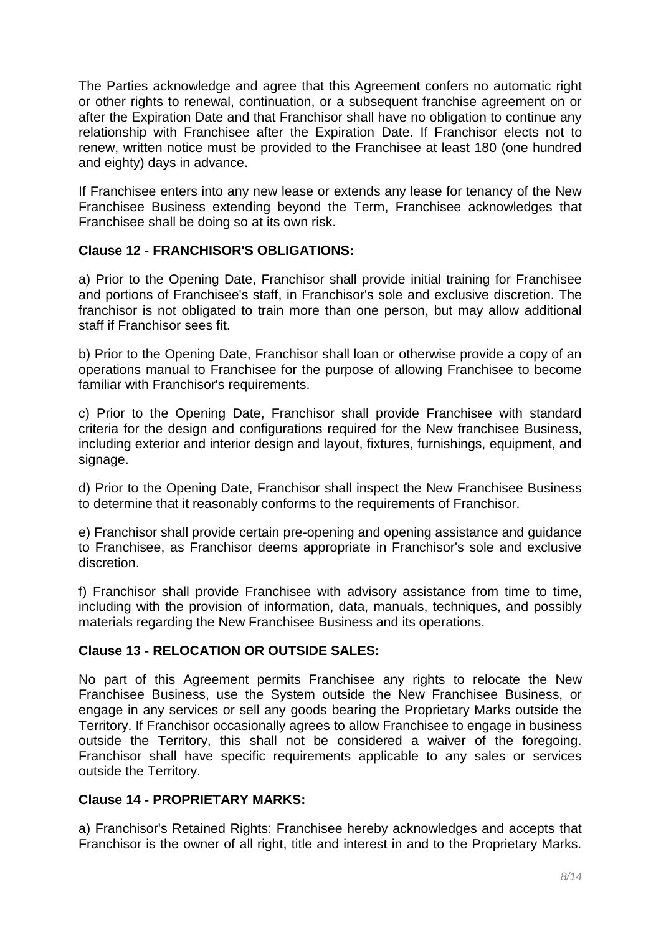The Parties acknowledge and agree that this Agreement confers no automatic right or other rights to renewal, continuation, or a subsequent franchise agreement on or after the Expiration Date and that Franchisor shall have no obligation to continue any relationship with Franchisee after the Expiration Date. If Franchisor elects not to renew, written notice must be provided to the Franchisee at least 180 (one hundred and eighty) days in advance.

If Franchisee enters into any new lease or extends any lease for tenancy of the New Franchisee Business extending beyond the Term, Franchisee acknowledges that Franchisee shall be doing so at its own risk.

# **Clause 12 - FRANCHISOR'S OBLIGATIONS:**

a) Prior to the Opening Date, Franchisor shall provide initial training for Franchisee and portions of Franchisee's staff, in Franchisor's sole and exclusive discretion. The franchisor is not obligated to train more than one person, but may allow additional staff if Franchisor sees fit.

b) Prior to the Opening Date, Franchisor shall loan or otherwise provide a copy of an operations manual to Franchisee for the purpose of allowing Franchisee to become familiar with Franchisor's requirements.

c) Prior to the Opening Date, Franchisor shall provide Franchisee with standard criteria for the design and configurations required for the New franchisee Business, including exterior and interior design and layout, fixtures, furnishings, equipment, and signage.

d) Prior to the Opening Date, Franchisor shall inspect the New Franchisee Business to determine that it reasonably conforms to the requirements of Franchisor.

e) Franchisor shall provide certain pre-opening and opening assistance and guidance to Franchisee, as Franchisor deems appropriate in Franchisor's sole and exclusive discretion.

f) Franchisor shall provide Franchisee with advisory assistance from time to time, including with the provision of information, data, manuals, techniques, and possibly materials regarding the New Franchisee Business and its operations.

## **Clause 13 - RELOCATION OR OUTSIDE SALES:**

No part of this Agreement permits Franchisee any rights to relocate the New Franchisee Business, use the System outside the New Franchisee Business, or engage in any services or sell any goods bearing the Proprietary Marks outside the Territory. If Franchisor occasionally agrees to allow Franchisee to engage in business outside the Territory, this shall not be considered a waiver of the foregoing. Franchisor shall have specific requirements applicable to any sales or services outside the Territory.

# **Clause 14 - PROPRIETARY MARKS:**

a) Franchisor's Retained Rights: Franchisee hereby acknowledges and accepts that Franchisor is the owner of all right, title and interest in and to the Proprietary Marks.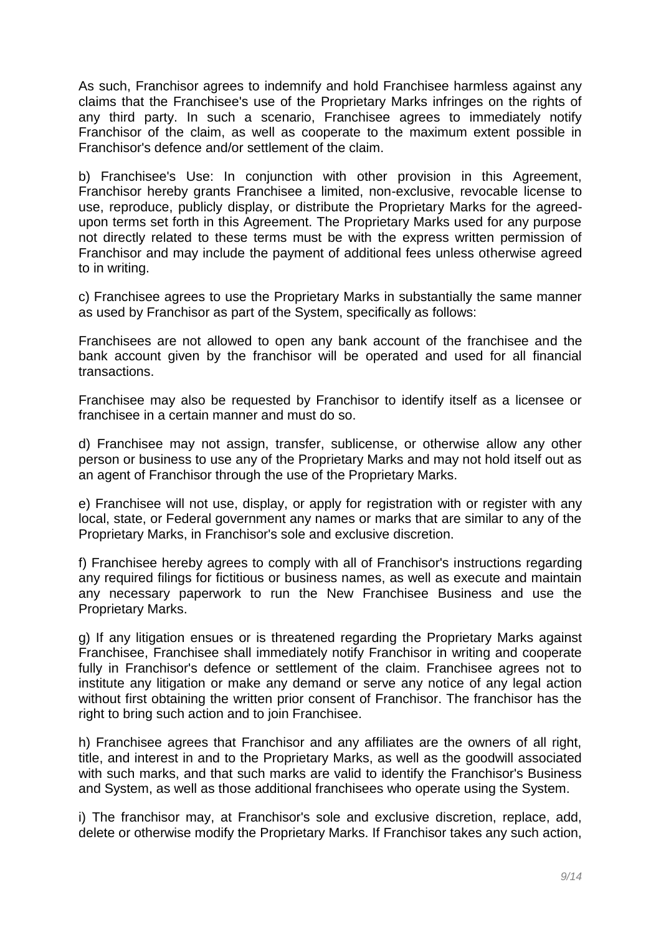As such, Franchisor agrees to indemnify and hold Franchisee harmless against any claims that the Franchisee's use of the Proprietary Marks infringes on the rights of any third party. In such a scenario, Franchisee agrees to immediately notify Franchisor of the claim, as well as cooperate to the maximum extent possible in Franchisor's defence and/or settlement of the claim.

b) Franchisee's Use: In conjunction with other provision in this Agreement, Franchisor hereby grants Franchisee a limited, non-exclusive, revocable license to use, reproduce, publicly display, or distribute the Proprietary Marks for the agreedupon terms set forth in this Agreement. The Proprietary Marks used for any purpose not directly related to these terms must be with the express written permission of Franchisor and may include the payment of additional fees unless otherwise agreed to in writing.

c) Franchisee agrees to use the Proprietary Marks in substantially the same manner as used by Franchisor as part of the System, specifically as follows:

Franchisees are not allowed to open any bank account of the franchisee and the bank account given by the franchisor will be operated and used for all financial transactions.

Franchisee may also be requested by Franchisor to identify itself as a licensee or franchisee in a certain manner and must do so.

d) Franchisee may not assign, transfer, sublicense, or otherwise allow any other person or business to use any of the Proprietary Marks and may not hold itself out as an agent of Franchisor through the use of the Proprietary Marks.

e) Franchisee will not use, display, or apply for registration with or register with any local, state, or Federal government any names or marks that are similar to any of the Proprietary Marks, in Franchisor's sole and exclusive discretion.

f) Franchisee hereby agrees to comply with all of Franchisor's instructions regarding any required filings for fictitious or business names, as well as execute and maintain any necessary paperwork to run the New Franchisee Business and use the Proprietary Marks.

g) If any litigation ensues or is threatened regarding the Proprietary Marks against Franchisee, Franchisee shall immediately notify Franchisor in writing and cooperate fully in Franchisor's defence or settlement of the claim. Franchisee agrees not to institute any litigation or make any demand or serve any notice of any legal action without first obtaining the written prior consent of Franchisor. The franchisor has the right to bring such action and to join Franchisee.

h) Franchisee agrees that Franchisor and any affiliates are the owners of all right, title, and interest in and to the Proprietary Marks, as well as the goodwill associated with such marks, and that such marks are valid to identify the Franchisor's Business and System, as well as those additional franchisees who operate using the System.

i) The franchisor may, at Franchisor's sole and exclusive discretion, replace, add, delete or otherwise modify the Proprietary Marks. If Franchisor takes any such action,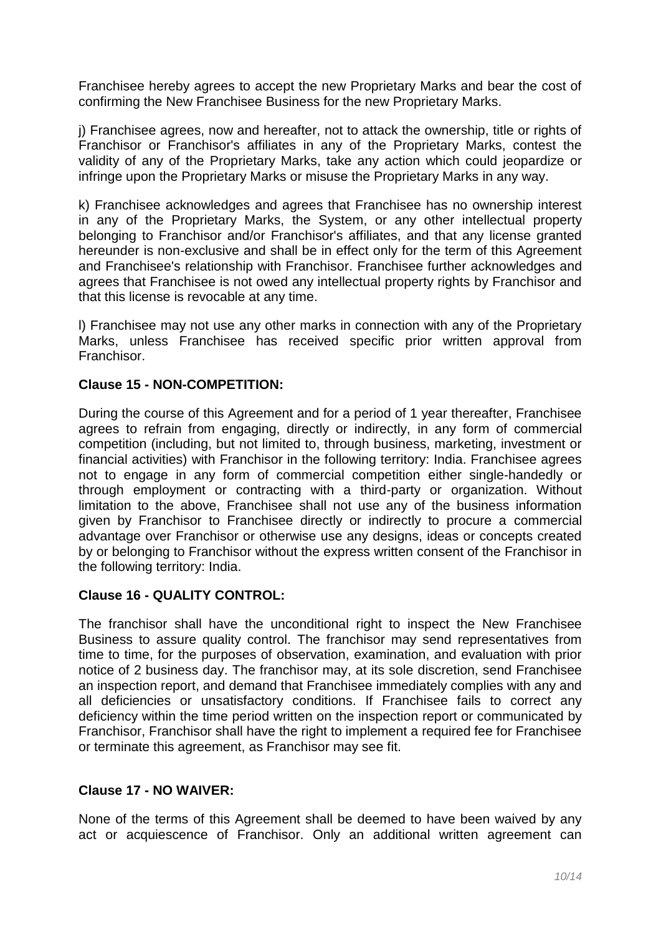Franchisee hereby agrees to accept the new Proprietary Marks and bear the cost of confirming the New Franchisee Business for the new Proprietary Marks.

j) Franchisee agrees, now and hereafter, not to attack the ownership, title or rights of Franchisor or Franchisor's affiliates in any of the Proprietary Marks, contest the validity of any of the Proprietary Marks, take any action which could jeopardize or infringe upon the Proprietary Marks or misuse the Proprietary Marks in any way.

k) Franchisee acknowledges and agrees that Franchisee has no ownership interest in any of the Proprietary Marks, the System, or any other intellectual property belonging to Franchisor and/or Franchisor's affiliates, and that any license granted hereunder is non-exclusive and shall be in effect only for the term of this Agreement and Franchisee's relationship with Franchisor. Franchisee further acknowledges and agrees that Franchisee is not owed any intellectual property rights by Franchisor and that this license is revocable at any time.

l) Franchisee may not use any other marks in connection with any of the Proprietary Marks, unless Franchisee has received specific prior written approval from **Franchisor** 

## **Clause 15 - NON-COMPETITION:**

During the course of this Agreement and for a period of 1 year thereafter, Franchisee agrees to refrain from engaging, directly or indirectly, in any form of commercial competition (including, but not limited to, through business, marketing, investment or financial activities) with Franchisor in the following territory: India. Franchisee agrees not to engage in any form of commercial competition either single-handedly or through employment or contracting with a third-party or organization. Without limitation to the above, Franchisee shall not use any of the business information given by Franchisor to Franchisee directly or indirectly to procure a commercial advantage over Franchisor or otherwise use any designs, ideas or concepts created by or belonging to Franchisor without the express written consent of the Franchisor in the following territory: India.

## **Clause 16 - QUALITY CONTROL:**

The franchisor shall have the unconditional right to inspect the New Franchisee Business to assure quality control. The franchisor may send representatives from time to time, for the purposes of observation, examination, and evaluation with prior notice of 2 business day. The franchisor may, at its sole discretion, send Franchisee an inspection report, and demand that Franchisee immediately complies with any and all deficiencies or unsatisfactory conditions. If Franchisee fails to correct any deficiency within the time period written on the inspection report or communicated by Franchisor, Franchisor shall have the right to implement a required fee for Franchisee or terminate this agreement, as Franchisor may see fit.

## **Clause 17 - NO WAIVER:**

None of the terms of this Agreement shall be deemed to have been waived by any act or acquiescence of Franchisor. Only an additional written agreement can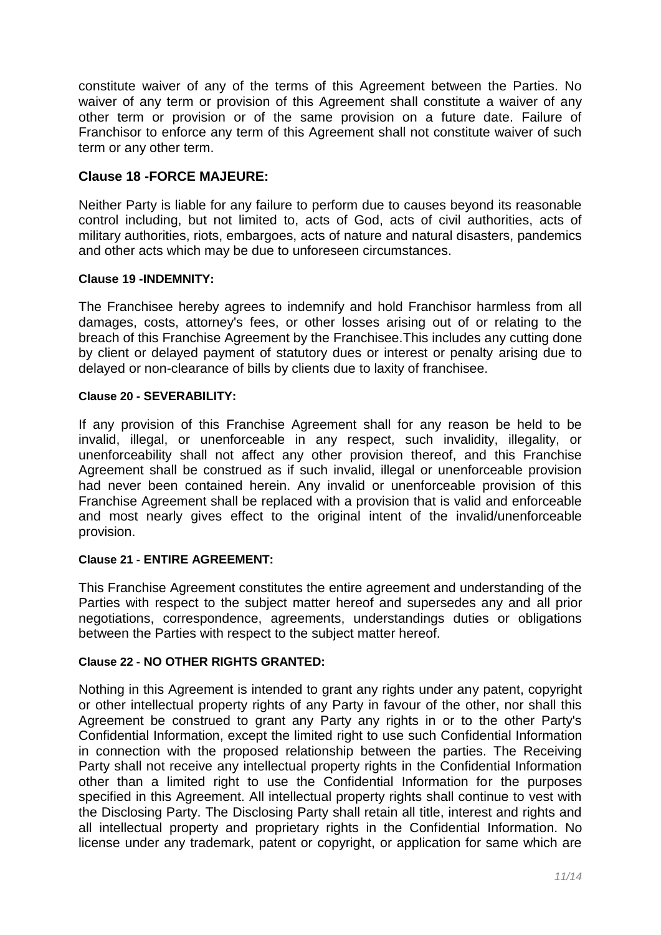constitute waiver of any of the terms of this Agreement between the Parties. No waiver of any term or provision of this Agreement shall constitute a waiver of any other term or provision or of the same provision on a future date. Failure of Franchisor to enforce any term of this Agreement shall not constitute waiver of such term or any other term.

# **Clause 18 -FORCE MAJEURE:**

Neither Party is liable for any failure to perform due to causes beyond its reasonable control including, but not limited to, acts of God, acts of civil authorities, acts of military authorities, riots, embargoes, acts of nature and natural disasters, pandemics and other acts which may be due to unforeseen circumstances.

#### **Clause 19 -INDEMNITY:**

The Franchisee hereby agrees to indemnify and hold Franchisor harmless from all damages, costs, attorney's fees, or other losses arising out of or relating to the breach of this Franchise Agreement by the Franchisee.This includes any cutting done by client or delayed payment of statutory dues or interest or penalty arising due to delayed or non-clearance of bills by clients due to laxity of franchisee.

#### **Clause 20 - SEVERABILITY:**

If any provision of this Franchise Agreement shall for any reason be held to be invalid, illegal, or unenforceable in any respect, such invalidity, illegality, or unenforceability shall not affect any other provision thereof, and this Franchise Agreement shall be construed as if such invalid, illegal or unenforceable provision had never been contained herein. Any invalid or unenforceable provision of this Franchise Agreement shall be replaced with a provision that is valid and enforceable and most nearly gives effect to the original intent of the invalid/unenforceable provision.

## **Clause 21 - ENTIRE AGREEMENT:**

This Franchise Agreement constitutes the entire agreement and understanding of the Parties with respect to the subject matter hereof and supersedes any and all prior negotiations, correspondence, agreements, understandings duties or obligations between the Parties with respect to the subject matter hereof.

# **Clause 22 - NO OTHER RIGHTS GRANTED:**

Nothing in this Agreement is intended to grant any rights under any patent, copyright or other intellectual property rights of any Party in favour of the other, nor shall this Agreement be construed to grant any Party any rights in or to the other Party's Confidential Information, except the limited right to use such Confidential Information in connection with the proposed relationship between the parties. The Receiving Party shall not receive any intellectual property rights in the Confidential Information other than a limited right to use the Confidential Information for the purposes specified in this Agreement. All intellectual property rights shall continue to vest with the Disclosing Party. The Disclosing Party shall retain all title, interest and rights and all intellectual property and proprietary rights in the Confidential Information. No license under any trademark, patent or copyright, or application for same which are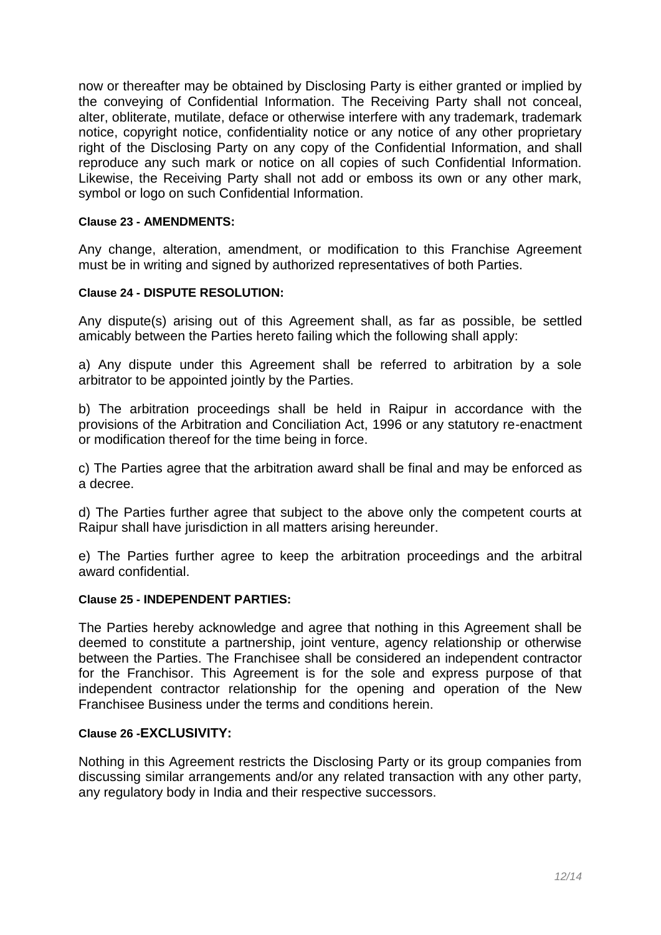now or thereafter may be obtained by Disclosing Party is either granted or implied by the conveying of Confidential Information. The Receiving Party shall not conceal, alter, obliterate, mutilate, deface or otherwise interfere with any trademark, trademark notice, copyright notice, confidentiality notice or any notice of any other proprietary right of the Disclosing Party on any copy of the Confidential Information, and shall reproduce any such mark or notice on all copies of such Confidential Information. Likewise, the Receiving Party shall not add or emboss its own or any other mark, symbol or logo on such Confidential Information.

#### **Clause 23 - AMENDMENTS:**

Any change, alteration, amendment, or modification to this Franchise Agreement must be in writing and signed by authorized representatives of both Parties.

#### **Clause 24 - DISPUTE RESOLUTION:**

Any dispute(s) arising out of this Agreement shall, as far as possible, be settled amicably between the Parties hereto failing which the following shall apply:

a) Any dispute under this Agreement shall be referred to arbitration by a sole arbitrator to be appointed jointly by the Parties.

b) The arbitration proceedings shall be held in Raipur in accordance with the provisions of the Arbitration and Conciliation Act, 1996 or any statutory re-enactment or modification thereof for the time being in force.

c) The Parties agree that the arbitration award shall be final and may be enforced as a decree.

d) The Parties further agree that subject to the above only the competent courts at Raipur shall have jurisdiction in all matters arising hereunder.

e) The Parties further agree to keep the arbitration proceedings and the arbitral award confidential.

#### **Clause 25 - INDEPENDENT PARTIES:**

The Parties hereby acknowledge and agree that nothing in this Agreement shall be deemed to constitute a partnership, joint venture, agency relationship or otherwise between the Parties. The Franchisee shall be considered an independent contractor for the Franchisor. This Agreement is for the sole and express purpose of that independent contractor relationship for the opening and operation of the New Franchisee Business under the terms and conditions herein.

#### **Clause 26 -EXCLUSIVITY:**

Nothing in this Agreement restricts the Disclosing Party or its group companies from discussing similar arrangements and/or any related transaction with any other party, any regulatory body in India and their respective successors.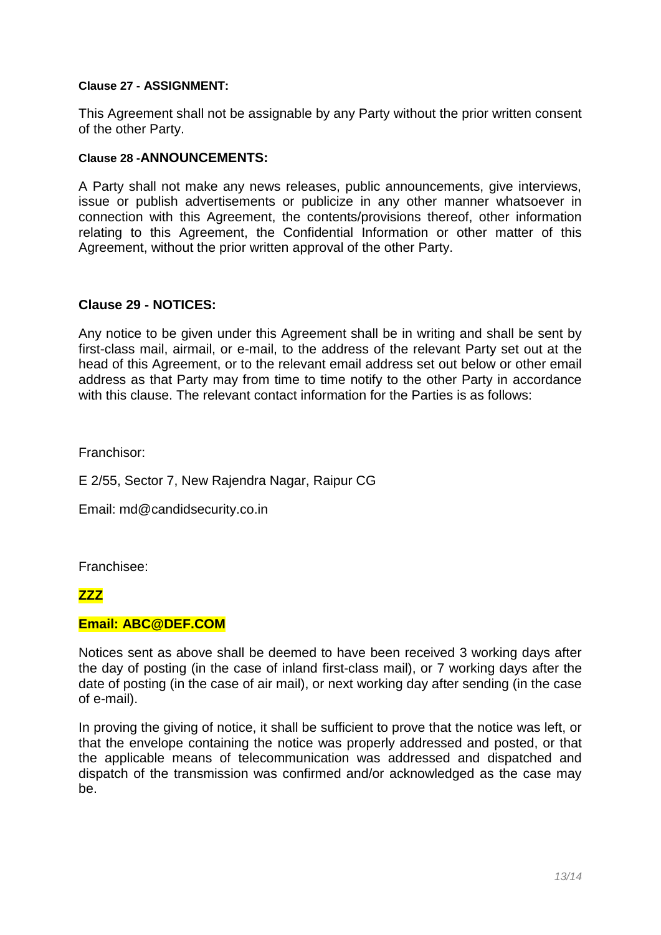#### **Clause 27 - ASSIGNMENT:**

This Agreement shall not be assignable by any Party without the prior written consent of the other Party.

#### **Clause 28 -ANNOUNCEMENTS:**

A Party shall not make any news releases, public announcements, give interviews, issue or publish advertisements or publicize in any other manner whatsoever in connection with this Agreement, the contents/provisions thereof, other information relating to this Agreement, the Confidential Information or other matter of this Agreement, without the prior written approval of the other Party.

## **Clause 29 - NOTICES:**

Any notice to be given under this Agreement shall be in writing and shall be sent by first-class mail, airmail, or e-mail, to the address of the relevant Party set out at the head of this Agreement, or to the relevant email address set out below or other email address as that Party may from time to time notify to the other Party in accordance with this clause. The relevant contact information for the Parties is as follows:

Franchisor:

E 2/55, Sector 7, New Rajendra Nagar, Raipur CG

Email: md@candidsecurity.co.in

Franchisee:

## **ZZZ**

#### **Email: ABC@DEF.COM**

Notices sent as above shall be deemed to have been received 3 working days after the day of posting (in the case of inland first-class mail), or 7 working days after the date of posting (in the case of air mail), or next working day after sending (in the case of e-mail).

In proving the giving of notice, it shall be sufficient to prove that the notice was left, or that the envelope containing the notice was properly addressed and posted, or that the applicable means of telecommunication was addressed and dispatched and dispatch of the transmission was confirmed and/or acknowledged as the case may be.